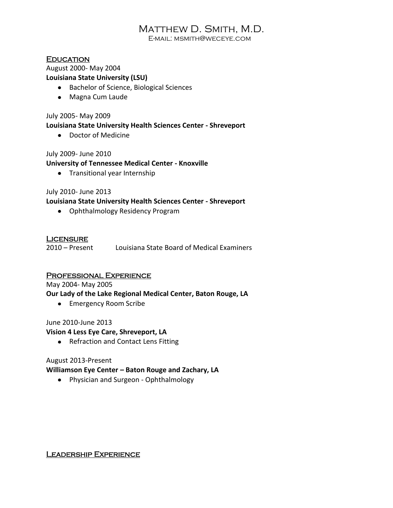# Matthew D. Smith, M.D.

E-mail: msmith@weceye.com

### **EDUCATION**

August 2000- May 2004 **Louisiana State University (LSU)**

- Bachelor of Science, Biological Sciences
- Magna Cum Laude

July 2005- May 2009

#### **Louisiana State University Health Sciences Center - Shreveport**

Doctor of Medicine

#### July 2009- June 2010

#### **University of Tennessee Medical Center - Knoxville**

**•** Transitional year Internship

#### July 2010- June 2013

#### **Louisiana State University Health Sciences Center - Shreveport**

Ophthalmology Residency Program

#### **LICENSURE**

2010 – Present Louisiana State Board of Medical Examiners

#### Professional Experience

May 2004- May 2005

**Our Lady of the Lake Regional Medical Center, Baton Rouge, LA**

**•** Emergency Room Scribe

#### June 2010-June 2013

#### **Vision 4 Less Eye Care, Shreveport, LA**

• Refraction and Contact Lens Fitting

#### August 2013-Present

#### **Williamson Eye Center – Baton Rouge and Zachary, LA**

• Physician and Surgeon - Ophthalmology

#### LEADERSHIP EXPERIENCE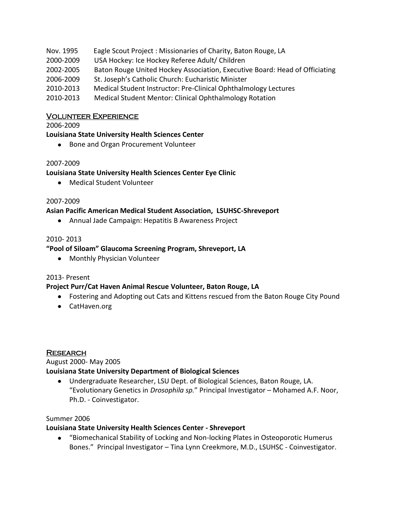- Nov. 1995 Eagle Scout Project : Missionaries of Charity, Baton Rouge, LA
- 2000-2009 USA Hockey: Ice Hockey Referee Adult/ Children
- 2002-2005 Baton Rouge United Hockey Association, Executive Board: Head of Officiating
- 2006-2009 St. Joseph's Catholic Church: Eucharistic Minister
- 2010-2013 Medical Student Instructor: Pre-Clinical Ophthalmology Lectures
- 2010-2013 Medical Student Mentor: Clinical Ophthalmology Rotation

### Volunteer Experience

2006-2009

### **Louisiana State University Health Sciences Center**

• Bone and Organ Procurement Volunteer

### 2007-2009

### **Louisiana State University Health Sciences Center Eye Clinic**

Medical Student Volunteer

### 2007-2009

### **Asian Pacific American Medical Student Association, LSUHSC-Shreveport**

Annual Jade Campaign: Hepatitis B Awareness Project

# 2010- 2013

# **"Pool of Siloam" Glaucoma Screening Program, Shreveport, LA**

Monthly Physician Volunteer

### 2013- Present

### **Project Purr/Cat Haven Animal Rescue Volunteer, Baton Rouge, LA**

- Fostering and Adopting out Cats and Kittens rescued from the Baton Rouge City Pound
- CatHaven.org

### **RESEARCH**

### August 2000- May 2005

### **Louisiana State University Department of Biological Sciences**

Undergraduate Researcher, LSU Dept. of Biological Sciences, Baton Rouge, LA. "Evolutionary Genetics in *Drosophila sp.*" Principal Investigator – Mohamed A.F. Noor, Ph.D. - Coinvestigator.

### Summer 2006

### **Louisiana State University Health Sciences Center - Shreveport**

"Biomechanical Stability of Locking and Non-locking Plates in Osteoporotic Humerus Bones." Principal Investigator – Tina Lynn Creekmore, M.D., LSUHSC - Coinvestigator.